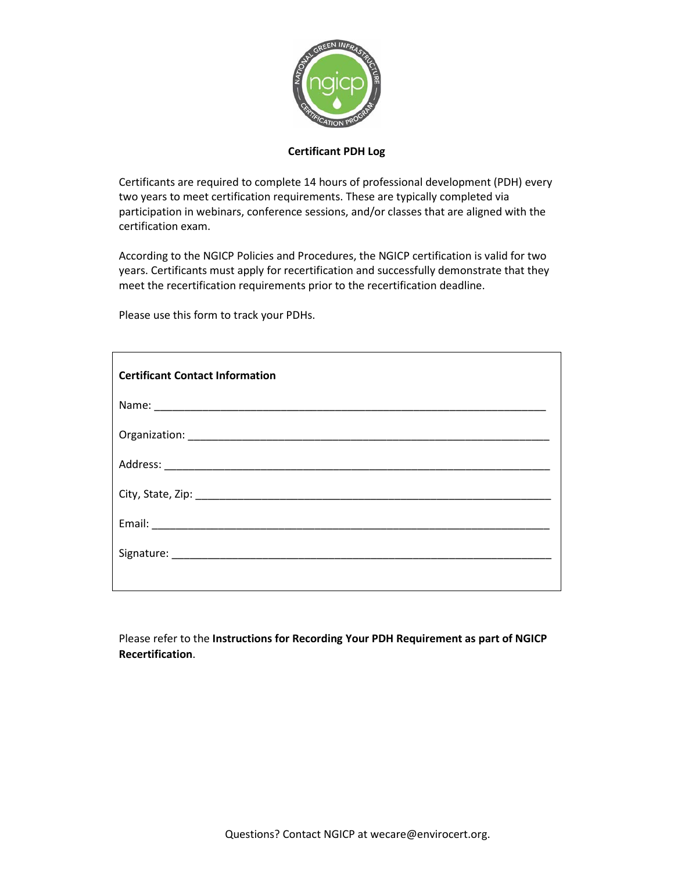

## **Certificant PDH Log**

Certificants are required to complete 14 hours of professional development (PDH) every two years to meet certification requirements. These are typically completed via participation in webinars, conference sessions, and/or classes that are aligned with the certification exam.

According to the NGICP Policies and Procedures, the NGICP certification is valid for two years. Certificants must apply for recertification and successfully demonstrate that they meet the recertification requirements prior to the recertification deadline.

Please use this form to track your PDHs.

| <b>Certificant Contact Information</b> |
|----------------------------------------|
|                                        |
|                                        |
|                                        |
|                                        |
|                                        |
|                                        |
|                                        |

Please refer to the **Instructions for Recording Your PDH Requirement as part of NGICP Recertification**.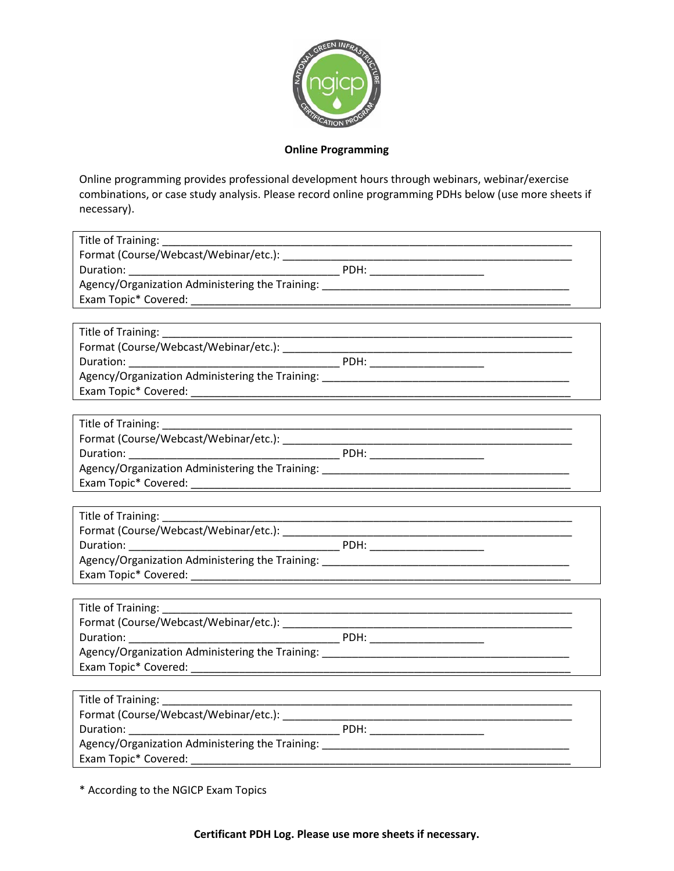

## **Online Programming**

Online programming provides professional development hours through webinars, webinar/exercise combinations, or case study analysis. Please record online programming PDHs below (use more sheets if necessary).

| Title of Training: 1997 |                                                                                                                       |  |
|-------------------------|-----------------------------------------------------------------------------------------------------------------------|--|
|                         |                                                                                                                       |  |
| Title of Training:      | <u> 1989 - Johann Stoff, deutscher Stoff, der Stoff, der Stoff, der Stoff, der Stoff, der Stoff, der Stoff, der S</u> |  |
|                         |                                                                                                                       |  |
| Title of Training:      |                                                                                                                       |  |
| Title of Training:      |                                                                                                                       |  |

\* According to the NGICP Exam Topics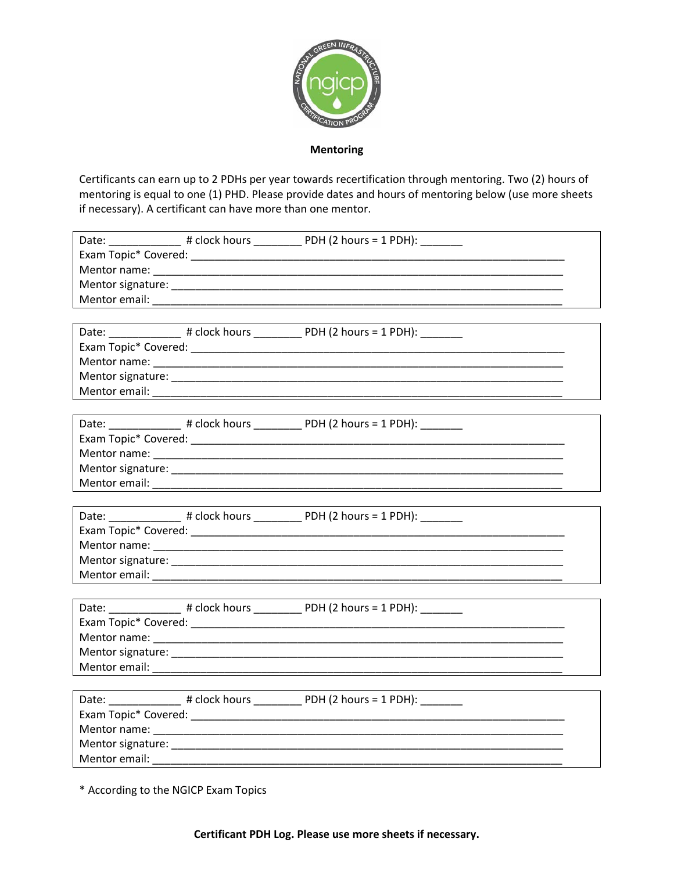

**Mentoring** 

Certificants can earn up to 2 PDHs per year towards recertification through mentoring. Two (2) hours of mentoring is equal to one (1) PHD. Please provide dates and hours of mentoring below (use more sheets if necessary). A certificant can have more than one mentor.

| Date: ________________ # clock hours ___________ PDH (2 hours = 1 PDH): ________ |  |
|----------------------------------------------------------------------------------|--|
|                                                                                  |  |
|                                                                                  |  |
|                                                                                  |  |
|                                                                                  |  |
|                                                                                  |  |
| Date: _________________ # clock hours ___________ PDH (2 hours = 1 PDH): _______ |  |
|                                                                                  |  |
|                                                                                  |  |
|                                                                                  |  |
|                                                                                  |  |
|                                                                                  |  |
|                                                                                  |  |
| Date: ________________ # clock hours ___________ PDH (2 hours = 1 PDH): ________ |  |
|                                                                                  |  |
|                                                                                  |  |
|                                                                                  |  |
|                                                                                  |  |
|                                                                                  |  |
| Date: ________________ # clock hours ___________ PDH (2 hours = 1 PDH): ________ |  |
|                                                                                  |  |
|                                                                                  |  |
|                                                                                  |  |
|                                                                                  |  |
|                                                                                  |  |
| Date: _________________ # clock hours ___________ PDH (2 hours = 1 PDH): _______ |  |
|                                                                                  |  |
|                                                                                  |  |
|                                                                                  |  |

\* According to the NGICP Exam Topics

Certificant PDH Log. Please use more sheets if necessary.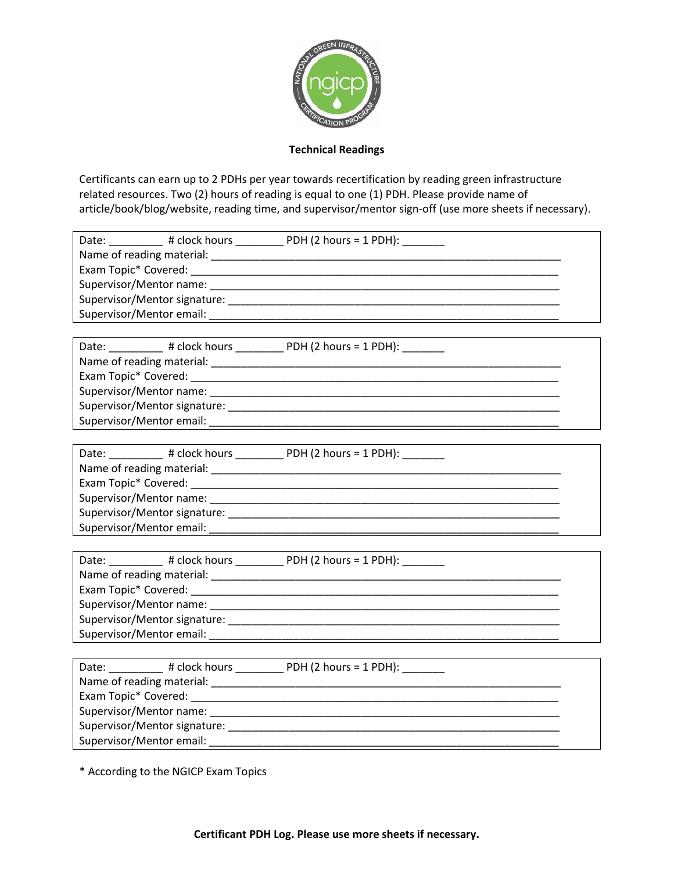

## **Technical Readings**

Certificants can earn up to 2 PDHs per year towards recertification by reading green infrastructure related resources. Two (2) hours of reading is equal to one (1) PDH. Please provide name of article/book/blog/website, reading time, and supervisor/mentor sign-off (use more sheets if necessary).

| Date: __________ # clock hours ___________ PDH (2 hours = 1 PDH): ________ |  |
|----------------------------------------------------------------------------|--|
|                                                                            |  |
|                                                                            |  |
|                                                                            |  |
|                                                                            |  |
|                                                                            |  |
|                                                                            |  |
| Date: __________ # clock hours __________ PDH (2 hours = 1 PDH): _______   |  |
|                                                                            |  |
|                                                                            |  |
|                                                                            |  |
|                                                                            |  |
|                                                                            |  |
|                                                                            |  |
| Date: __________ # clock hours __________ PDH (2 hours = 1 PDH): _______   |  |
|                                                                            |  |
|                                                                            |  |
|                                                                            |  |
|                                                                            |  |
|                                                                            |  |
|                                                                            |  |
| Date: __________ # clock hours __________ PDH (2 hours = 1 PDH): _______   |  |
|                                                                            |  |
|                                                                            |  |
|                                                                            |  |
|                                                                            |  |
|                                                                            |  |
|                                                                            |  |
| Date: __________ # clock hours _________ PDH (2 hours = 1 PDH): _______    |  |
|                                                                            |  |
|                                                                            |  |
|                                                                            |  |
| Supervisor/Mentor signature: __                                            |  |

\* According to the NGICP Exam Topics

Supervisor/Mentor email: